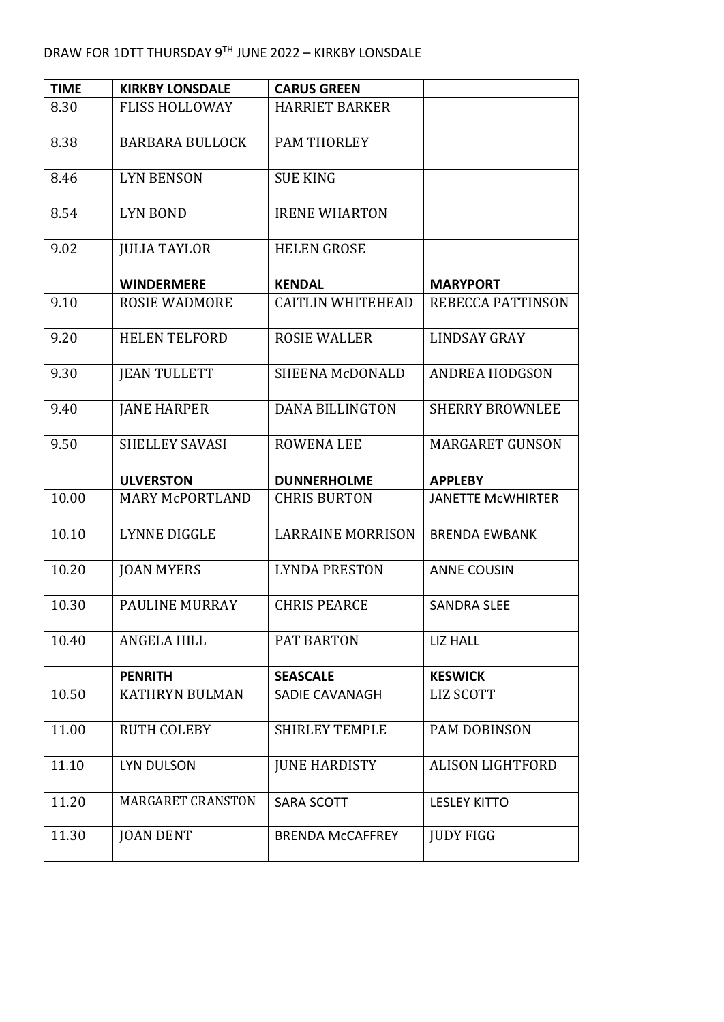| <b>TIME</b> | <b>KIRKBY LONSDALE</b>   | <b>CARUS GREEN</b>       |                          |
|-------------|--------------------------|--------------------------|--------------------------|
| 8.30        | <b>FLISS HOLLOWAY</b>    | <b>HARRIET BARKER</b>    |                          |
| 8.38        | <b>BARBARA BULLOCK</b>   | <b>PAM THORLEY</b>       |                          |
| 8.46        | <b>LYN BENSON</b>        | <b>SUE KING</b>          |                          |
| 8.54        | <b>LYN BOND</b>          | <b>IRENE WHARTON</b>     |                          |
| 9.02        | <b>JULIA TAYLOR</b>      | <b>HELEN GROSE</b>       |                          |
|             | <b>WINDERMERE</b>        | <b>KENDAL</b>            | <b>MARYPORT</b>          |
| 9.10        | ROSIE WADMORE            | <b>CAITLIN WHITEHEAD</b> | REBECCA PATTINSON        |
| 9.20        | <b>HELEN TELFORD</b>     | <b>ROSIE WALLER</b>      | <b>LINDSAY GRAY</b>      |
| 9.30        | <b>JEAN TULLETT</b>      | SHEENA McDONALD          | <b>ANDREA HODGSON</b>    |
| 9.40        | <b>JANE HARPER</b>       | <b>DANA BILLINGTON</b>   | <b>SHERRY BROWNLEE</b>   |
| 9.50        | <b>SHELLEY SAVASI</b>    | <b>ROWENA LEE</b>        | <b>MARGARET GUNSON</b>   |
|             | <b>ULVERSTON</b>         | <b>DUNNERHOLME</b>       | <b>APPLEBY</b>           |
| 10.00       | <b>MARY McPORTLAND</b>   | <b>CHRIS BURTON</b>      | <b>JANETTE MCWHIRTER</b> |
| 10.10       | <b>LYNNE DIGGLE</b>      | <b>LARRAINE MORRISON</b> | <b>BRENDA EWBANK</b>     |
| 10.20       | <b>JOAN MYERS</b>        | <b>LYNDA PRESTON</b>     | <b>ANNE COUSIN</b>       |
| 10.30       | <b>PAULINE MURRAY</b>    |                          |                          |
|             |                          | <b>CHRIS PEARCE</b>      | <b>SANDRA SLEE</b>       |
| 10.40       | <b>ANGELA HILL</b>       | <b>PAT BARTON</b>        | <b>LIZ HALL</b>          |
|             | <b>PENRITH</b>           | <b>SEASCALE</b>          | <b>KESWICK</b>           |
| 10.50       | <b>KATHRYN BULMAN</b>    | SADIE CAVANAGH           | LIZ SCOTT                |
| 11.00       | <b>RUTH COLEBY</b>       | <b>SHIRLEY TEMPLE</b>    | PAM DOBINSON             |
| 11.10       | LYN DULSON               | <b>JUNE HARDISTY</b>     | <b>ALISON LIGHTFORD</b>  |
| 11.20       | <b>MARGARET CRANSTON</b> | <b>SARA SCOTT</b>        | <b>LESLEY KITTO</b>      |